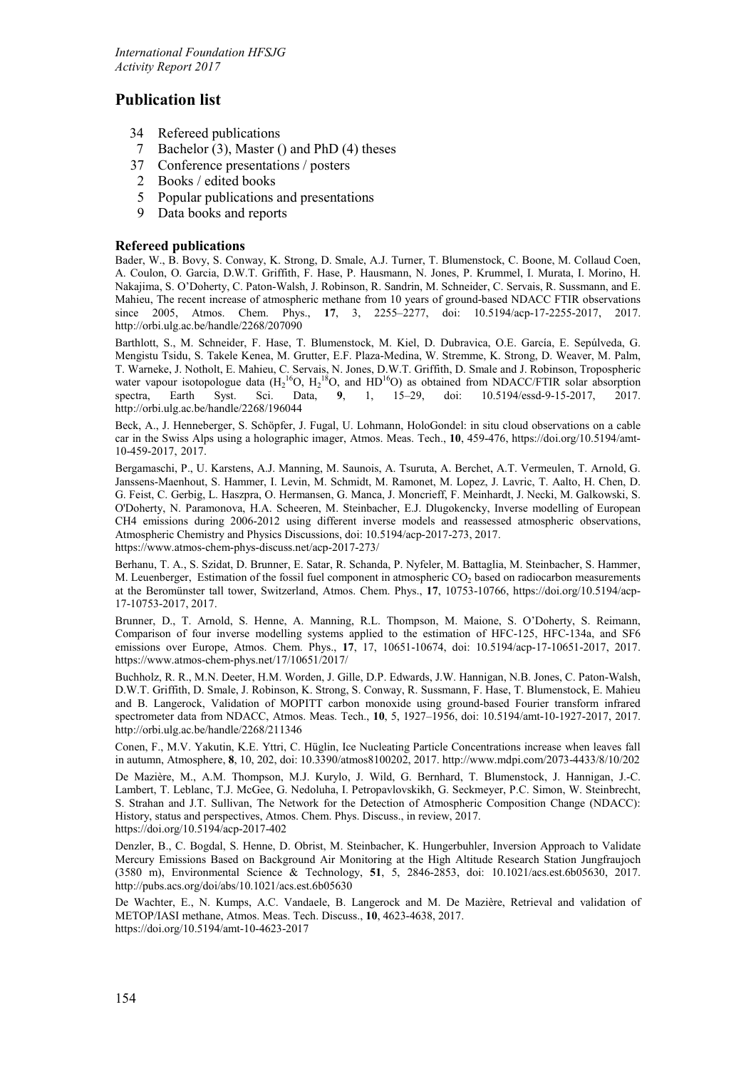# **Publication list**

- 34 Refereed publications<br>7 Bachelor (3). Master (
- Bachelor (3), Master () and PhD (4) theses
- 37 Conference presentations / posters
- 2 Books / edited books
- 5 Popular publications and presentations
- 9 Data books and reports

# **Refereed publications**

Bader, W., B. Bovy, S. Conway, K. Strong, D. Smale, A.J. Turner, T. Blumenstock, C. Boone, M. Collaud Coen, A. Coulon, O. Garcia, D.W.T. Griffith, F. Hase, P. Hausmann, N. Jones, P. Krummel, I. Murata, I. Morino, H. Nakajima, S. O'Doherty, C. Paton-Walsh, J. Robinson, R. Sandrin, M. Schneider, C. Servais, R. Sussmann, and E. Mahieu, The recent increase of atmospheric methane from 10 years of ground-based NDACC FTIR observations since 2005, Atmos. Chem. Phys., **17**, 3, 2255–2277, doi: 10.5194/acp-17-2255-2017, 2017. http://orbi.ulg.ac.be/handle/2268/207090

Barthlott, S., M. Schneider, F. Hase, T. Blumenstock, M. Kiel, D. Dubravica, O.E. García, E. Sepúlveda, G. Mengistu Tsidu, S. Takele Kenea, M. Grutter, E.F. Plaza-Medina, W. Stremme, K. Strong, D. Weaver, M. Palm, T. Warneke, J. Notholt, E. Mahieu, C. Servais, N. Jones, D.W.T. Griffith, D. Smale and J. Robinson, Tropospheric water vapour isotopologue data  $(H_2^{16}O, H_2^{18}O,$  and  $HD^{16}O)$  as obtained from NDACC/FTIR solar absorption spectra, Earth Syst. Sci. Data, **9**, 1, 15–29, doi: 10.5194/essd-9-15-2017, 2017. http://orbi.ulg.ac.be/handle/2268/196044

Beck, A., J. Henneberger, S. Schöpfer, J. Fugal, U. Lohmann, HoloGondel: in situ cloud observations on a cable car in the Swiss Alps using a holographic imager, Atmos. Meas. Tech., **10**, 459-476, [https://doi.org/10.5194/amt-](https://doi.org/10.5194/amt-10-459-2017)[10-459-2017,](https://doi.org/10.5194/amt-10-459-2017) 2017.

Bergamaschi, P., U. Karstens, A.J. Manning, M. Saunois, A. Tsuruta, A. Berchet, A.T. Vermeulen, T. Arnold, G. Janssens-Maenhout, S. Hammer, I. Levin, M. Schmidt, M. Ramonet, M. Lopez, J. Lavric, T. Aalto, H. Chen, D. G. Feist, C. Gerbig, L. Haszpra, O. Hermansen, G. Manca, J. Moncrieff, F. Meinhardt, J. Necki, M. Galkowski, S. O'Doherty, N. Paramonova, H.A. Scheeren, M. Steinbacher, E.J. Dlugokencky, Inverse modelling of European CH4 emissions during 2006-2012 using different inverse models and reassessed atmospheric observations, Atmospheric Chemistry and Physics Discussions, doi: 10.5194/acp-2017-273, 2017. https://www.atmos-chem-phys-discuss.net/acp-2017-273/

Berhanu, T. A., S. Szidat, D. Brunner, E. Satar, R. Schanda, P. Nyfeler, M. Battaglia, M. Steinbacher, S. Hammer, M. Leuenberger, Estimation of the fossil fuel component in atmospheric CO<sub>2</sub> based on radiocarbon measurements at the Beromünster tall tower, Switzerland, Atmos. Chem. Phys., **17**, 10753-10766, https://doi.org/10.5194/acp-17-10753-2017, 2017.

Brunner, D., T. Arnold, S. Henne, A. Manning, R.L. Thompson, M. Maione, S. O'Doherty, S. Reimann, Comparison of four inverse modelling systems applied to the estimation of HFC-125, HFC-134a, and SF6 emissions over Europe, Atmos. Chem. Phys., **17**, 17, 10651-10674, doi: 10.5194/acp-17-10651-2017, 2017. https://www.atmos-chem-phys.net/17/10651/2017/

Buchholz, R. R., M.N. Deeter, H.M. Worden, J. Gille, D.P. Edwards, J.W. Hannigan, N.B. Jones, C. Paton-Walsh, D.W.T. Griffith, D. Smale, J. Robinson, K. Strong, S. Conway, R. Sussmann, F. Hase, T. Blumenstock, E. Mahieu and B. Langerock, Validation of MOPITT carbon monoxide using ground-based Fourier transform infrared spectrometer data from NDACC, Atmos. Meas. Tech., **10**, 5, 1927–1956, doi: 10.5194/amt-10-1927-2017, 2017. http://orbi.ulg.ac.be/handle/2268/211346

Conen, F., M.V. Yakutin, K.E. Yttri, C. Hüglin, Ice Nucleating Particle Concentrations increase when leaves fall in autumn, Atmosphere, **8**, 10, 202, doi: 10.3390/atmos8100202, 2017. http://www.mdpi.com/2073-4433/8/10/202

De Mazière, M., A.M. Thompson, M.J. Kurylo, J. Wild, G. Bernhard, T. Blumenstock, J. Hannigan, J.-C. Lambert, T. Leblanc, T.J. McGee, G. Nedoluha, I. Petropavlovskikh, G. Seckmeyer, P.C. Simon, W. Steinbrecht, S. Strahan and J.T. Sullivan, The Network for the Detection of Atmospheric Composition Change (NDACC): History, status and perspectives, Atmos. Chem. Phys. Discuss., in review, 2017. <https://doi.org/10.5194/acp-2017-402>

Denzler, B., C. Bogdal, S. Henne, D. Obrist, M. Steinbacher, K. Hungerbuhler, Inversion Approach to Validate Mercury Emissions Based on Background Air Monitoring at the High Altitude Research Station Jungfraujoch (3580 m), Environmental Science & Technology, **51**, 5, 2846-2853, doi: 10.1021/acs.est.6b05630, 2017. http://pubs.acs.org/doi/abs/10.1021/acs.est.6b05630

De Wachter, E., N. Kumps, A.C. Vandaele, B. Langerock and M. De Mazière, Retrieval and validation of METOP/IASI methane, Atmos. Meas. Tech. Discuss., **10**, 4623-4638, 2017. https://doi.org/10.5194/amt-10-4623-2017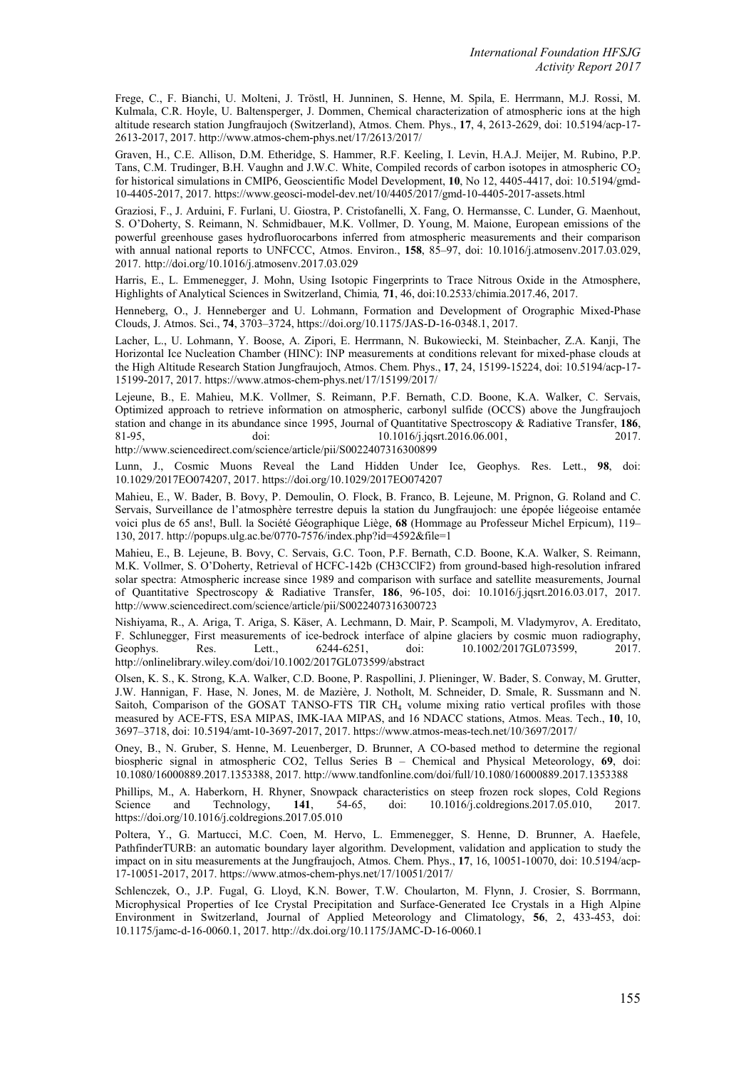Frege, C., F. Bianchi, U. Molteni, J. Tröstl, H. Junninen, S. Henne, M. Spila, E. Herrmann, M.J. Rossi, M. Kulmala, C.R. Hoyle, U. Baltensperger, J. Dommen, Chemical characterization of atmospheric ions at the high altitude research station Jungfraujoch (Switzerland), Atmos. Chem. Phys., **17**, 4, 2613-2629, doi: 10.5194/acp-17- 2613-2017, 2017. http://www.atmos-chem-phys.net/17/2613/2017/

Graven, H., C.E. Allison, D.M. Etheridge, S. Hammer, R.F. Keeling, I. Levin, H.A.J. Meijer, M. Rubino, P.P. Tans, C.M. Trudinger, B.H. Vaughn and J.W.C. White, Compiled records of carbon isotopes in atmospheric CO<sub>2</sub> for historical simulations in CMIP6, Geoscientific Model Development, **10**, No 12, 4405-4417, doi: 10.5194/gmd-10-4405-2017, 2017. https://www.geosci-model-dev.net/10/4405/2017/gmd-10-4405-2017-assets.html

Graziosi, F., J. Arduini, F. Furlani, U. Giostra, P. Cristofanelli, X. Fang, O. Hermansse, C. Lunder, G. Maenhout, S. O'Doherty, S. Reimann, N. Schmidbauer, M.K. Vollmer, D. Young, M. Maione, European emissions of the powerful greenhouse gases hydrofluorocarbons inferred from atmospheric measurements and their comparison with annual national reports to UNFCCC, Atmos. Environ., **158**, 85–97, doi: 10.1016/j.atmosenv.2017.03.029, 2017. http://doi.org/10.1016/j.atmosenv.2017.03.029

Harris, E., L. Emmenegger, J. Mohn, Using Isotopic Fingerprints to Trace Nitrous Oxide in the Atmosphere, Highlights of Analytical Sciences in Switzerland, Chimia*,* **71**, 46, doi:10.2533/chimia.2017.46, 2017.

Henneberg, O., J. Henneberger and U. Lohmann, Formation and Development of Orographic Mixed-Phase Clouds, J. Atmos. Sci., **74**, 3703–3724, https://doi.org/10.1175/JAS-D-16-0348.1, 2017.

Lacher, L., U. Lohmann, Y. Boose, A. Zipori, E. Herrmann, N. Bukowiecki, M. Steinbacher, Z.A. Kanji, The Horizontal Ice Nucleation Chamber (HINC): INP measurements at conditions relevant for mixed-phase clouds at the High Altitude Research Station Jungfraujoch, Atmos. Chem. Phys., **17**, 24, 15199-15224, doi: 10.5194/acp-17- 15199-2017, 2017. https://www.atmos-chem-phys.net/17/15199/2017/

Lejeune, B., E. Mahieu, M.K. Vollmer, S. Reimann, P.F. Bernath, C.D. Boone, K.A. Walker, C. Servais, Optimized approach to retrieve information on atmospheric, carbonyl sulfide (OCCS) above the Jungfraujoch station and change in its abundance since 1995, Journal of Quantitative Spectroscopy & Radiative Transfer, **186**, 81-95, doi: 10.1016/j.jqsrt.2016.06.001, 2017. doi: 10.1016/j.jqsrt.2016.06.001, 2017. http://www.sciencedirect.com/science/article/pii/S0022407316300899

Lunn, J., Cosmic Muons Reveal the Land Hidden Under Ice, Geophys. Res. Lett., **98**, doi: 10.1029/2017EO074207, 2017. https://doi.org/10.1029/2017EO074207

Mahieu, E., W. Bader, B. Bovy, P. Demoulin, O. Flock, B. Franco, B. Lejeune, M. Prignon, G. Roland and C. Servais, Surveillance de l'atmosphère terrestre depuis la station du Jungfraujoch: une épopée liégeoise entamée voici plus de 65 ans!, Bull. la Société Géographique Liège, **68** (Hommage au Professeur Michel Erpicum), 119– 130, 2017. http://popups.ulg.ac.be/0770-7576/index.php?id=4592&file=1

Mahieu, E., B. Lejeune, B. Bovy, C. Servais, G.C. Toon, P.F. Bernath, C.D. Boone, K.A. Walker, S. Reimann, M.K. Vollmer, S. O'Doherty, Retrieval of HCFC-142b (CH3CClF2) from ground-based high-resolution infrared solar spectra: Atmospheric increase since 1989 and comparison with surface and satellite measurements, Journal of Quantitative Spectroscopy & Radiative Transfer, **186**, 96-105, doi: 10.1016/j.jqsrt.2016.03.017, 2017. http://www.sciencedirect.com/science/article/pii/S0022407316300723

Nishiyama, R., A. Ariga, T. Ariga, S. Käser, A. Lechmann, D. Mair, P. Scampoli, M. Vladymyrov, A. Ereditato, F. Schlunegger, First measurements of ice-bedrock interface of alpine glaciers by cosmic muon radiography, Geophys. Res. Lett., 6244-6251, doi: 10.1002/2017GL073599, 2017. Res. Lett., 6244-6251, doi: 10.1002/2017GL073599, http://onlinelibrary.wiley.com/doi/10.1002/2017GL073599/abstract

Olsen, K. S., K. Strong, K.A. Walker, C.D. Boone, P. Raspollini, J. Plieninger, W. Bader, S. Conway, M. Grutter, J.W. Hannigan, F. Hase, N. Jones, M. de Mazière, J. Notholt, M. Schneider, D. Smale, R. Sussmann and N. Saitoh, Comparison of the GOSAT TANSO-FTS TIR CH<sub>4</sub> volume mixing ratio vertical profiles with those measured by ACE-FTS, ESA MIPAS, IMK-IAA MIPAS, and 16 NDACC stations, Atmos. Meas. Tech., **10**, 10, 3697–3718, doi: 10.5194/amt-10-3697-2017, 2017. https://www.atmos-meas-tech.net/10/3697/2017/

Oney, B., N. Gruber, S. Henne, M. Leuenberger, D. Brunner, A CO-based method to determine the regional biospheric signal in atmospheric CO2, Tellus Series B – Chemical and Physical Meteorology, **69**, doi: 10.1080/16000889.2017.1353388, 2017. http://www.tandfonline.com/doi/full/10.1080/16000889.2017.1353388

Phillips, M., A. Haberkorn, H. Rhyner, Snowpack characteristics on steep frozen rock slopes, Cold Regions Science and Technology, **141**, 54-65, doi: 10.1016/j.coldregions.2017.05.010, 2017. https://doi.org/10.1016/j.coldregions.2017.05.010

Poltera, Y., G. Martucci, M.C. Coen, M. Hervo, L. Emmenegger, S. Henne, D. Brunner, A. Haefele, PathfinderTURB: an automatic boundary layer algorithm. Development, validation and application to study the impact on in situ measurements at the Jungfraujoch, Atmos. Chem. Phys., **17**, 16, 10051-10070, doi: 10.5194/acp-17-10051-2017, 2017. https://www.atmos-chem-phys.net/17/10051/2017/

Schlenczek, O., J.P. Fugal, G. Lloyd, K.N. Bower, T.W. Choularton, M. Flynn, J. Crosier, S. Borrmann, Microphysical Properties of Ice Crystal Precipitation and Surface-Generated Ice Crystals in a High Alpine Environment in Switzerland, Journal of Applied Meteorology and Climatology, **56**, 2, 433-453, doi: 10.1175/jamc-d-16-0060.1, 2017. http://dx.doi.org/10.1175/JAMC-D-16-0060.1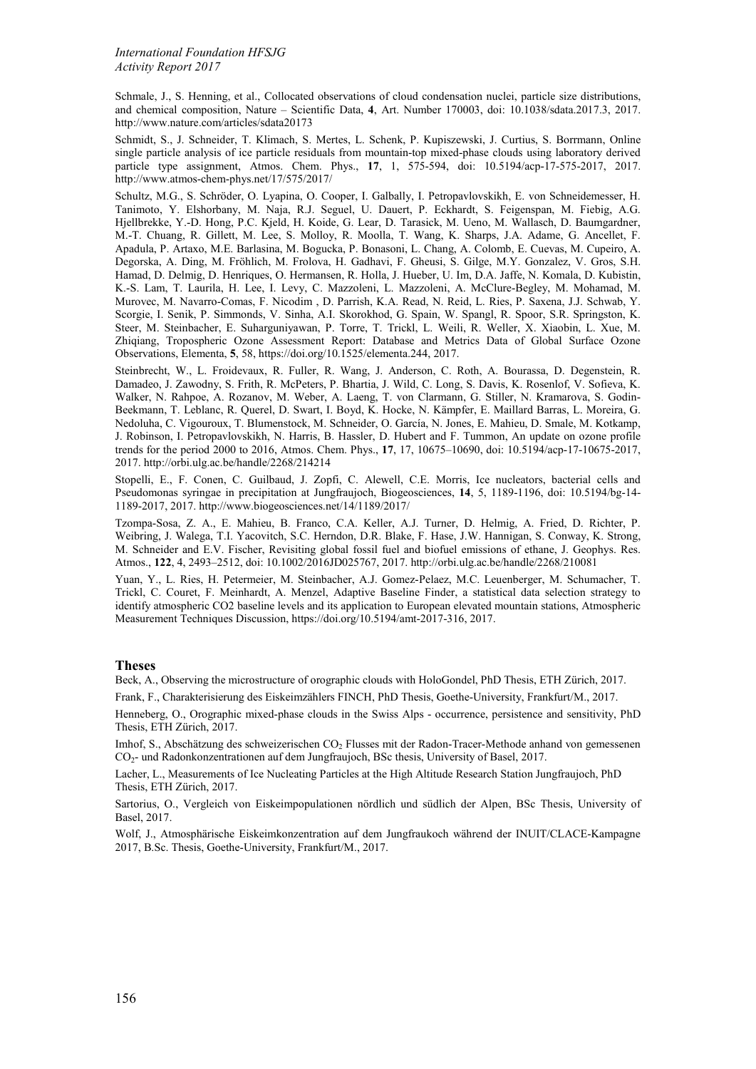Schmale, J., S. Henning, et al., Collocated observations of cloud condensation nuclei, particle size distributions, and chemical composition, Nature – Scientific Data, **4**, Art. Number 170003, doi: 10.1038/sdata.2017.3, 2017. http://www.nature.com/articles/sdata20173

Schmidt, S., J. Schneider, T. Klimach, S. Mertes, L. Schenk, P. Kupiszewski, J. Curtius, S. Borrmann, Online single particle analysis of ice particle residuals from mountain-top mixed-phase clouds using laboratory derived particle type assignment, Atmos. Chem. Phys., **17**, 1, 575-594, doi: 10.5194/acp-17-575-2017, 2017. http://www.atmos-chem-phys.net/17/575/2017/

Schultz, M.G., S. Schröder, O. Lyapina, O. Cooper, I. Galbally, I. Petropavlovskikh, E. von Schneidemesser, H. Tanimoto, Y. Elshorbany, M. Naja, R.J. Seguel, U. Dauert, P. Eckhardt, S. Feigenspan, M. Fiebig, A.G. Hjellbrekke, Y.-D. Hong, P.C. Kjeld, H. Koide, G. Lear, D. Tarasick, M. Ueno, M. Wallasch, D. Baumgardner, M.-T. Chuang, R. Gillett, M. Lee, S. Molloy, R. Moolla, T. Wang, K. Sharps, J.A. Adame, G. Ancellet, F. Apadula, P. Artaxo, M.E. Barlasina, M. Bogucka, P. Bonasoni, L. Chang, A. Colomb, E. Cuevas, M. Cupeiro, A. Degorska, A. Ding, M. Fröhlich, M. Frolova, H. Gadhavi, F. Gheusi, S. Gilge, M.Y. Gonzalez, V. Gros, S.H. Hamad, D. Delmig, D. Henriques, O. Hermansen, R. Holla, J. Hueber, U. Im, D.A. Jaffe, N. Komala, D. Kubistin, K.-S. Lam, T. Laurila, H. Lee, I. Levy, C. Mazzoleni, L. Mazzoleni, A. McClure-Begley, M. Mohamad, M. Murovec, M. Navarro-Comas, F. Nicodim , D. Parrish, K.A. Read, N. Reid, L. Ries, P. Saxena, J.J. Schwab, Y. Scorgie, I. Senik, P. Simmonds, V. Sinha, A.I. Skorokhod, G. Spain, W. Spangl, R. Spoor, S.R. Springston, K. Steer, M. Steinbacher, E. Suharguniyawan, P. Torre, T. Trickl, L. Weili, R. Weller, X. Xiaobin, L. Xue, M. Zhiqiang, Tropospheric Ozone Assessment Report: Database and Metrics Data of Global Surface Ozone Observations, Elementa, **5**, 58, https://doi.org/10.1525/elementa.244, 2017.

Steinbrecht, W., L. Froidevaux, R. Fuller, R. Wang, J. Anderson, C. Roth, A. Bourassa, D. Degenstein, R. Damadeo, J. Zawodny, S. Frith, R. McPeters, P. Bhartia, J. Wild, C. Long, S. Davis, K. Rosenlof, V. Sofieva, K. Walker, N. Rahpoe, A. Rozanov, M. Weber, A. Laeng, T. von Clarmann, G. Stiller, N. Kramarova, S. Godin-Beekmann, T. Leblanc, R. Querel, D. Swart, I. Boyd, K. Hocke, N. Kämpfer, E. Maillard Barras, L. Moreira, G. Nedoluha, C. Vigouroux, T. Blumenstock, M. Schneider, O. García, N. Jones, E. Mahieu, D. Smale, M. Kotkamp, J. Robinson, I. Petropavlovskikh, N. Harris, B. Hassler, D. Hubert and F. Tummon, An update on ozone profile trends for the period 2000 to 2016, Atmos. Chem. Phys., **17**, 17, 10675–10690, doi: 10.5194/acp-17-10675-2017, 2017. http://orbi.ulg.ac.be/handle/2268/214214

Stopelli, E., F. Conen, C. Guilbaud, J. Zopfi, C. Alewell, C.E. Morris, Ice nucleators, bacterial cells and Pseudomonas syringae in precipitation at Jungfraujoch, Biogeosciences, **14**, 5, 1189-1196, doi: 10.5194/bg-14- 1189-2017, 2017. http://www.biogeosciences.net/14/1189/2017/

Tzompa-Sosa, Z. A., E. Mahieu, B. Franco, C.A. Keller, A.J. Turner, D. Helmig, A. Fried, D. Richter, P. Weibring, J. Walega, T.I. Yacovitch, S.C. Herndon, D.R. Blake, F. Hase, J.W. Hannigan, S. Conway, K. Strong, M. Schneider and E.V. Fischer, Revisiting global fossil fuel and biofuel emissions of ethane, J. Geophys. Res. Atmos., **122**, 4, 2493–2512, doi: 10.1002/2016JD025767, 2017. http://orbi.ulg.ac.be/handle/2268/210081

Yuan, Y., L. Ries, H. Petermeier, M. Steinbacher, A.J. Gomez-Pelaez, M.C. Leuenberger, M. Schumacher, T. Trickl, C. Couret, F. Meinhardt, A. Menzel, Adaptive Baseline Finder, a statistical data selection strategy to identify atmospheric CO2 baseline levels and its application to European elevated mountain stations, Atmospheric Measurement Techniques Discussion, https://doi.org/10.5194/amt-2017-316, 2017.

#### **Theses**

Beck, A., Observing the microstructure of orographic clouds with HoloGondel, PhD Thesis, ETH Zürich, 2017.

Frank, F., Charakterisierung des Eiskeimzählers FINCH, PhD Thesis, Goethe-University, Frankfurt/M., 2017.

Henneberg, O., Orographic mixed-phase clouds in the Swiss Alps - occurrence, persistence and sensitivity, PhD Thesis, ETH Zürich, 2017.

Imhof, S., Abschätzung des schweizerischen CO<sub>2</sub> Flusses mit der Radon-Tracer-Methode anhand von gemessenen CO2- und Radonkonzentrationen auf dem Jungfraujoch, BSc thesis, University of Basel, 2017.

Lacher, L., Measurements of Ice Nucleating Particles at the High Altitude Research Station Jungfraujoch, PhD Thesis, ETH Zürich, 2017.

Sartorius, O., Vergleich von Eiskeimpopulationen nördlich und südlich der Alpen, BSc Thesis, University of Basel, 2017.

Wolf, J., Atmosphärische Eiskeimkonzentration auf dem Jungfraukoch während der INUIT/CLACE-Kampagne 2017, B.Sc. Thesis, Goethe-University, Frankfurt/M., 2017.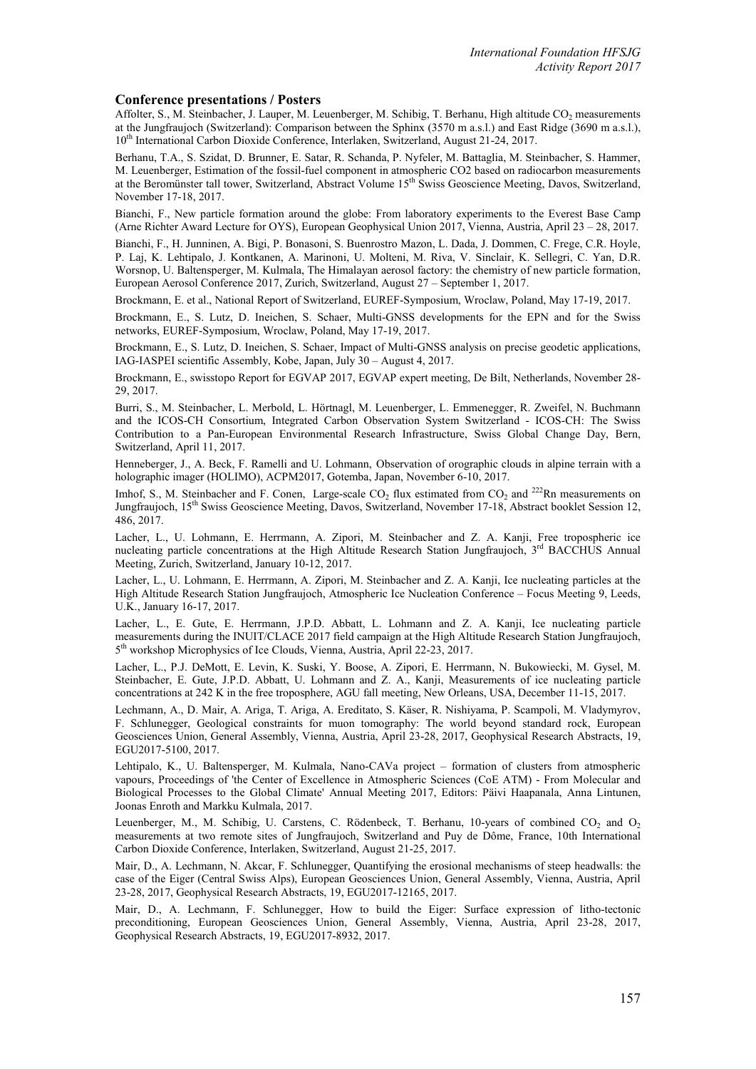#### **Conference presentations / Posters**

Affolter, S., M. Steinbacher, J. Lauper, M. Leuenberger, M. Schibig, T. Berhanu, High altitude CO<sub>2</sub> measurements at the Jungfraujoch (Switzerland): Comparison between the Sphinx (3570 m a.s.l.) and East Ridge (3690 m a.s.l.), 10<sup>th</sup> International Carbon Dioxide Conference, Interlaken, Switzerland, August 21-24, 2017.

Berhanu, T.A., S. Szidat, D. Brunner, E. Satar, R. Schanda, P. Nyfeler, M. Battaglia, M. Steinbacher, S. Hammer, M. Leuenberger, Estimation of the fossil-fuel component in atmospheric CO2 based on radiocarbon measurements at the Beromünster tall tower, Switzerland, Abstract Volume 15<sup>th</sup> Swiss Geoscience Meeting, Davos, Switzerland, November 17-18, 2017.

Bianchi, F., New particle formation around the globe: From laboratory experiments to the Everest Base Camp (Arne Richter Award Lecture for OYS), European Geophysical Union 2017, Vienna, Austria, April 23 – 28, 2017.

Bianchi, F., H. Junninen, A. Bigi, P. Bonasoni, S. Buenrostro Mazon, L. Dada, J. Dommen, C. Frege, C.R. Hoyle, P. Laj, K. Lehtipalo, J. Kontkanen, A. Marinoni, U. Molteni, M. Riva, V. Sinclair, K. Sellegri, C. Yan, D.R. Worsnop, U. Baltensperger, M. Kulmala, The Himalayan aerosol factory: the chemistry of new particle formation, European Aerosol Conference 2017, Zurich, Switzerland, August 27 – September 1, 2017.

Brockmann, E. et al., National Report of Switzerland, EUREF-Symposium, Wroclaw, Poland, May 17-19, 2017.

Brockmann, E., S. Lutz, D. Ineichen, S. Schaer, Multi-GNSS developments for the EPN and for the Swiss networks, EUREF-Symposium, Wroclaw, Poland, May 17-19, 2017.

Brockmann, E., S. Lutz, D. Ineichen, S. Schaer, Impact of Multi-GNSS analysis on precise geodetic applications, IAG-IASPEI scientific Assembly, Kobe, Japan, July 30 – August 4, 2017.

Brockmann, E., swisstopo Report for EGVAP 2017, EGVAP expert meeting, De Bilt, Netherlands, November 28- 29, 2017.

Burri, S., M. Steinbacher, L. Merbold, L. Hörtnagl, M. Leuenberger, L. Emmenegger, R. Zweifel, N. Buchmann and the ICOS-CH Consortium, Integrated Carbon Observation System Switzerland - ICOS-CH: The Swiss Contribution to a Pan-European Environmental Research Infrastructure, Swiss Global Change Day, Bern, Switzerland, April 11, 2017.

Henneberger, J., A. Beck, F. Ramelli and U. Lohmann, Observation of orographic clouds in alpine terrain with a holographic imager (HOLIMO), ACPM2017, Gotemba, Japan, November 6-10, 2017.

Imhof, S., M. Steinbacher and F. Conen, Large-scale  $CO_2$  flux estimated from  $CO_2$  and  $^{222}$ Rn measurements on Jungfraujoch, 15th Swiss Geoscience Meeting, Davos, Switzerland, November 17-18, Abstract booklet Session 12, 486, 2017.

Lacher, L., U. Lohmann, E. Herrmann, A. Zipori, M. Steinbacher and Z. A. Kanji, Free tropospheric ice nucleating particle concentrations at the High Altitude Research Station Jungfraujoch, 3<sup>rd</sup> BACCHUS Annual Meeting, Zurich, Switzerland, January 10-12, 2017.

Lacher, L., U. Lohmann, E. Herrmann, A. Zipori, M. Steinbacher and Z. A. Kanji, Ice nucleating particles at the High Altitude Research Station Jungfraujoch, Atmospheric Ice Nucleation Conference – Focus Meeting 9, Leeds, U.K., January 16-17, 2017.

Lacher, L., E. Gute, E. Herrmann, J.P.D. Abbatt, L. Lohmann and Z. A. Kanji, Ice nucleating particle measurements during the INUIT/CLACE 2017 field campaign at the High Altitude Research Station Jungfraujoch, 5th workshop Microphysics of Ice Clouds, Vienna, Austria, April 22-23, 2017.

Lacher, L., P.J. DeMott, E. Levin, K. Suski, Y. Boose, A. Zipori, E. Herrmann, N. Bukowiecki, M. Gysel, M. Steinbacher, E. Gute, J.P.D. Abbatt, U. Lohmann and Z. A., Kanji, Measurements of ice nucleating particle concentrations at 242 K in the free troposphere, AGU fall meeting, New Orleans, USA, December 11-15, 2017.

Lechmann, A., D. Mair, A. Ariga, T. Ariga, A. Ereditato, S. Käser, R. Nishiyama, P. Scampoli, M. Vladymyrov, F. Schlunegger, Geological constraints for muon tomography: The world beyond standard rock, European Geosciences Union, General Assembly, Vienna, Austria, April 23-28, 2017, Geophysical Research Abstracts, 19, EGU2017-5100, 2017.

Lehtipalo, K., U. Baltensperger, M. Kulmala, Nano-CAVa project – formation of clusters from atmospheric vapours, Proceedings of 'the Center of Excellence in Atmospheric Sciences (CoE ATM) - From Molecular and Biological Processes to the Global Climate' Annual Meeting 2017, Editors: Päivi Haapanala, Anna Lintunen, Joonas Enroth and Markku Kulmala, 2017.

Leuenberger, M., M. Schibig, U. Carstens, C. Rödenbeck, T. Berhanu, 10-years of combined  $CO_2$  and  $O_2$ measurements at two remote sites of Jungfraujoch, Switzerland and Puy de Dôme, France, 10th International Carbon Dioxide Conference, Interlaken, Switzerland, August 21-25, 2017.

Mair, D., A. Lechmann, N. Akcar, F. Schlunegger, Quantifying the erosional mechanisms of steep headwalls: the case of the Eiger (Central Swiss Alps), European Geosciences Union, General Assembly, Vienna, Austria, April 23-28, 2017, Geophysical Research Abstracts, 19, EGU2017-12165, 2017.

Mair, D., A. Lechmann, F. Schlunegger, How to build the Eiger: Surface expression of litho-tectonic preconditioning, European Geosciences Union, General Assembly, Vienna, Austria, April 23-28, 2017, Geophysical Research Abstracts, 19, EGU2017-8932, 2017.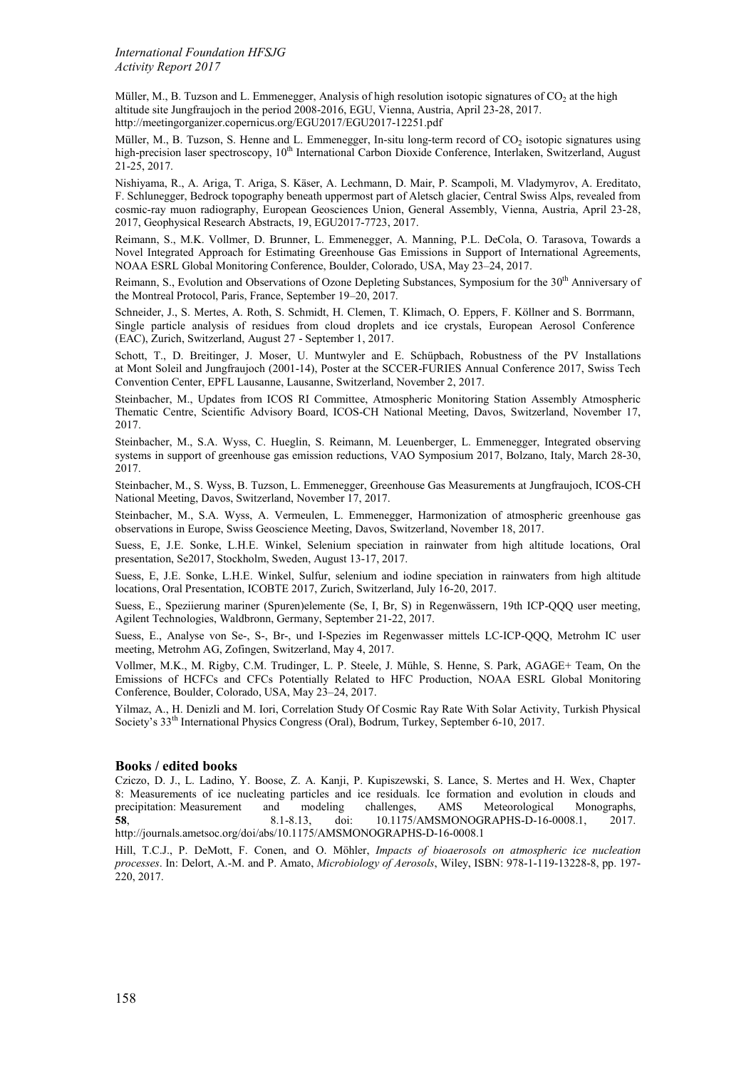*International Foundation HFSJG Activity Report 2017*

Müller, M., B. Tuzson and L. Emmenegger, Analysis of high resolution isotopic signatures of  $CO<sub>2</sub>$  at the high altitude site Jungfraujoch in the period 2008-2016, EGU, Vienna, Austria, April 23-28, 2017. http://meetingorganizer.copernicus.org/EGU2017/EGU2017-12251.pdf

Müller, M., B. Tuzson, S. Henne and L. Emmenegger, In-situ long-term record of CO<sub>2</sub> isotopic signatures using high-precision laser spectroscopy, 10<sup>th</sup> International Carbon Dioxide Conference, Interlaken, Switzerland, August 21-25, 2017.

Nishiyama, R., A. Ariga, T. Ariga, S. Käser, A. Lechmann, D. Mair, P. Scampoli, M. Vladymyrov, A. Ereditato, F. Schlunegger, Bedrock topography beneath uppermost part of Aletsch glacier, Central Swiss Alps, revealed from cosmic-ray muon radiography, European Geosciences Union, General Assembly, Vienna, Austria, April 23-28, 2017, Geophysical Research Abstracts, 19, EGU2017-7723, 2017.

Reimann, S., M.K. Vollmer, D. Brunner, L. Emmenegger, A. Manning, P.L. DeCola, O. Tarasova, Towards a Novel Integrated Approach for Estimating Greenhouse Gas Emissions in Support of International Agreements, NOAA ESRL Global Monitoring Conference, Boulder, Colorado, USA, May 23–24, 2017.

Reimann, S., Evolution and Observations of Ozone Depleting Substances, Symposium for the 30<sup>th</sup> Anniversary of the Montreal Protocol, Paris, France, September 19–20, 2017.

Schneider, J., S. Mertes, A. Roth, S. Schmidt, H. Clemen, T. Klimach, O. Eppers, F. Köllner and S. Borrmann, Single particle analysis of residues from cloud droplets and ice crystals, European Aerosol Conference (EAC), Zurich, Switzerland, August 27 - September 1, 2017.

Schott, T., D. Breitinger, J. Moser, U. Muntwyler and E. Schüpbach, Robustness of the PV Installations at Mont Soleil and Jungfraujoch (2001-14), Poster at the SCCER-FURIES Annual Conference 2017, Swiss Tech Convention Center, EPFL Lausanne, Lausanne, Switzerland, November 2, 2017.

Steinbacher, M., Updates from ICOS RI Committee, Atmospheric Monitoring Station Assembly Atmospheric Thematic Centre, Scientific Advisory Board, ICOS-CH National Meeting, Davos, Switzerland, November 17, 2017.

Steinbacher, M., S.A. Wyss, C. Hueglin, S. Reimann, M. Leuenberger, L. Emmenegger, Integrated observing systems in support of greenhouse gas emission reductions, VAO Symposium 2017, Bolzano, Italy, March 28-30, 2017.

Steinbacher, M., S. Wyss, B. Tuzson, L. Emmenegger, Greenhouse Gas Measurements at Jungfraujoch, ICOS-CH National Meeting, Davos, Switzerland, November 17, 2017.

Steinbacher, M., S.A. Wyss, A. Vermeulen, L. Emmenegger, Harmonization of atmospheric greenhouse gas observations in Europe, Swiss Geoscience Meeting, Davos, Switzerland, November 18, 2017.

Suess, E, J.E. Sonke, L.H.E. Winkel, Selenium speciation in rainwater from high altitude locations, Oral presentation, Se2017, Stockholm, Sweden, August 13-17, 2017.

Suess, E, J.E. Sonke, L.H.E. Winkel, Sulfur, selenium and iodine speciation in rainwaters from high altitude locations, Oral Presentation, ICOBTE 2017, Zurich, Switzerland, July 16-20, 2017.

Suess, E., Speziierung mariner (Spuren)elemente (Se, I, Br, S) in Regenwässern, 19th ICP-QQQ user meeting, Agilent Technologies, Waldbronn, Germany, September 21-22, 2017.

Suess, E., Analyse von Se-, S-, Br-, und I-Spezies im Regenwasser mittels LC-ICP-QQQ, Metrohm IC user meeting, Metrohm AG, Zofingen, Switzerland, May 4, 2017.

Vollmer, M.K., M. Rigby, C.M. Trudinger, L. P. Steele, J. Mühle, S. Henne, S. Park, AGAGE+ Team, On the Emissions of HCFCs and CFCs Potentially Related to HFC Production, NOAA ESRL Global Monitoring Conference, Boulder, Colorado, USA, May 23–24, 2017.

Yilmaz, A., H. Denizli and M. Iori, Correlation Study Of Cosmic Ray Rate With Solar Activity, Turkish Physical Society's 33th International Physics Congress (Oral), Bodrum, Turkey, September 6-10, 2017.

#### **Books / edited books**

Cziczo, D. J., L. Ladino, Y. Boose, Z. A. Kanji, P. Kupiszewski, S. Lance, S. Mertes and H. Wex, Chapter 8: Measurements of ice nucleating particles and ice residuals. Ice formation and evolution in clouds and precipitation: Measurement and modeling challenges, AMS Meteorological Monographs, precipitation: Measurement and modeling 58, 2013, and Monographs, AMS Measurement and modeling **58**, 8.1-8.13, doi: 10.1175/AMSMONOGRAPHS-D-16-0008.1, 2017. http://journals.ametsoc.org/doi/abs/10.1175/AMSMONOGRAPHS-D-16-0008.1

Hill, T.C.J., P. DeMott, F. Conen, and O. Möhler, *Impacts of bioaerosols on atmospheric ice nucleation processes*. In: Delort, A.-M. and P. Amato, *Microbiology of Aerosols*, Wiley, ISBN: 978-1-119-13228-8, pp. 197- 220, 2017.